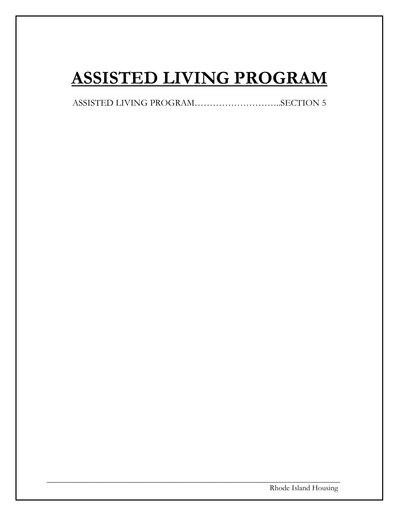# **ASSISTED LIVING PROGRAM**

ASSISTED LIVING PROGRAM………………………..SECTION 5

\_\_\_\_\_\_\_\_\_\_\_\_\_\_\_\_\_\_\_\_\_\_\_\_\_\_\_\_\_\_\_\_\_\_\_\_\_\_\_\_\_\_\_\_\_\_\_\_\_\_\_\_\_\_\_\_\_\_\_\_\_\_\_\_\_\_\_\_\_\_\_\_\_\_\_

Rhode Island Housing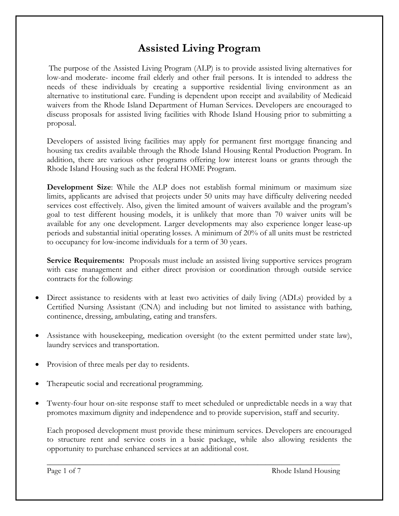# **Assisted Living Program**

The purpose of the Assisted Living Program (ALP) is to provide assisted living alternatives for low-and moderate- income frail elderly and other frail persons. It is intended to address the needs of these individuals by creating a supportive residential living environment as an alternative to institutional care. Funding is dependent upon receipt and availability of Medicaid waivers from the Rhode Island Department of Human Services. Developers are encouraged to discuss proposals for assisted living facilities with Rhode Island Housing prior to submitting a proposal.

Developers of assisted living facilities may apply for permanent first mortgage financing and housing tax credits available through the Rhode Island Housing Rental Production Program. In addition, there are various other programs offering low interest loans or grants through the Rhode Island Housing such as the federal HOME Program.

**Development Size**: While the ALP does not establish formal minimum or maximum size limits, applicants are advised that projects under 50 units may have difficulty delivering needed services cost effectively. Also, given the limited amount of waivers available and the program's goal to test different housing models, it is unlikely that more than 70 waiver units will be available for any one development. Larger developments may also experience longer lease-up periods and substantial initial operating losses. A minimum of 20% of all units must be restricted to occupancy for low-income individuals for a term of 30 years.

**Service Requirements:** Proposals must include an assisted living supportive services program with case management and either direct provision or coordination through outside service contracts for the following:

- Direct assistance to residents with at least two activities of daily living (ADLs) provided by a Certified Nursing Assistant (CNA) and including but not limited to assistance with bathing, continence, dressing, ambulating, eating and transfers.
- Assistance with housekeeping, medication oversight (to the extent permitted under state law), laundry services and transportation.
- Provision of three meals per day to residents.
- Therapeutic social and recreational programming.
- Twenty-four hour on-site response staff to meet scheduled or unpredictable needs in a way that promotes maximum dignity and independence and to provide supervision, staff and security.

Each proposed development must provide these minimum services. Developers are encouraged to structure rent and service costs in a basic package, while also allowing residents the opportunity to purchase enhanced services at an additional cost.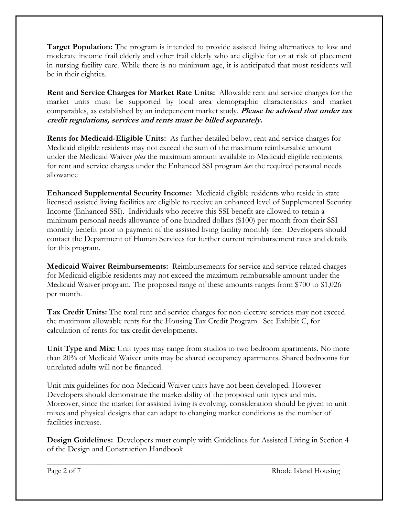**Target Population:** The program is intended to provide assisted living alternatives to low and moderate income frail elderly and other frail elderly who are eligible for or at risk of placement in nursing facility care. While there is no minimum age, it is anticipated that most residents will be in their eighties.

**Rent and Service Charges for Market Rate Units:** Allowable rent and service charges for the market units must be supported by local area demographic characteristics and market comparables, as established by an independent market study. **Please be advised that under tax credit regulations, services and rents must be billed separately.**

**Rents for Medicaid-Eligible Units:** As further detailed below, rent and service charges for Medicaid eligible residents may not exceed the sum of the maximum reimbursable amount under the Medicaid Waiver *plus* the maximum amount available to Medicaid eligible recipients for rent and service charges under the Enhanced SSI program *less* the required personal needs allowance

**Enhanced Supplemental Security Income:** Medicaid eligible residents who reside in state licensed assisted living facilities are eligible to receive an enhanced level of Supplemental Security Income (Enhanced SSI). Individuals who receive this SSI benefit are allowed to retain a minimum personal needs allowance of one hundred dollars (\$100) per month from their SSI monthly benefit prior to payment of the assisted living facility monthly fee. Developers should contact the Department of Human Services for further current reimbursement rates and details for this program.

**Medicaid Waiver Reimbursements:** Reimbursements for service and service related charges for Medicaid eligible residents may not exceed the maximum reimbursable amount under the Medicaid Waiver program. The proposed range of these amounts ranges from \$700 to \$1,026 per month.

**Tax Credit Units:** The total rent and service charges for non-elective services may not exceed the maximum allowable rents for the Housing Tax Credit Program. See Exhibit C, for calculation of rents for tax credit developments.

**Unit Type and Mix:** Unit types may range from studios to two bedroom apartments. No more than 20% of Medicaid Waiver units may be shared occupancy apartments. Shared bedrooms for unrelated adults will not be financed.

Unit mix guidelines for non-Medicaid Waiver units have not been developed. However Developers should demonstrate the marketability of the proposed unit types and mix. Moreover, since the market for assisted living is evolving, consideration should be given to unit mixes and physical designs that can adapt to changing market conditions as the number of facilities increase.

**Design Guidelines:** Developers must comply with Guidelines for Assisted Living in Section 4 of the Design and Construction Handbook.

\_\_\_\_\_\_\_\_\_\_\_\_\_\_\_\_\_\_\_\_\_\_\_\_\_\_\_\_\_\_\_\_\_\_\_\_\_\_\_\_\_\_\_\_\_\_\_\_\_\_\_\_\_\_\_\_\_\_\_\_\_\_\_\_\_\_\_\_\_\_\_\_\_\_\_

Page 2 of 7 Rhode Island Housing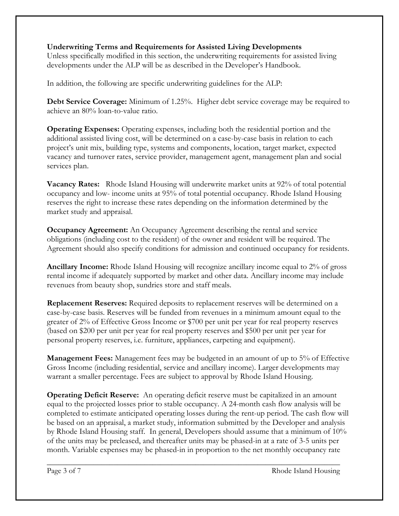# **Underwriting Terms and Requirements for Assisted Living Developments**

Unless specifically modified in this section, the underwriting requirements for assisted living developments under the ALP will be as described in the Developer's Handbook.

In addition, the following are specific underwriting guidelines for the ALP:

**Debt Service Coverage:** Minimum of 1.25%. Higher debt service coverage may be required to achieve an 80% loan-to-value ratio.

**Operating Expenses:** Operating expenses, including both the residential portion and the additional assisted living cost, will be determined on a case-by-case basis in relation to each project's unit mix, building type, systems and components, location, target market, expected vacancy and turnover rates, service provider, management agent, management plan and social services plan.

**Vacancy Rates:** Rhode Island Housing will underwrite market units at 92% of total potential occupancy and low- income units at 95% of total potential occupancy. Rhode Island Housing reserves the right to increase these rates depending on the information determined by the market study and appraisal.

**Occupancy Agreement:** An Occupancy Agreement describing the rental and service obligations (including cost to the resident) of the owner and resident will be required. The Agreement should also specify conditions for admission and continued occupancy for residents.

**Ancillary Income:** Rhode Island Housing will recognize ancillary income equal to 2% of gross rental income if adequately supported by market and other data. Ancillary income may include revenues from beauty shop, sundries store and staff meals.

**Replacement Reserves:** Required deposits to replacement reserves will be determined on a case-by-case basis. Reserves will be funded from revenues in a minimum amount equal to the greater of 2% of Effective Gross Income or \$700 per unit per year for real property reserves (based on \$200 per unit per year for real property reserves and \$500 per unit per year for personal property reserves, i.e. furniture, appliances, carpeting and equipment).

**Management Fees:** Management fees may be budgeted in an amount of up to 5% of Effective Gross Income (including residential, service and ancillary income). Larger developments may warrant a smaller percentage. Fees are subject to approval by Rhode Island Housing.

**Operating Deficit Reserve:** An operating deficit reserve must be capitalized in an amount equal to the projected losses prior to stable occupancy. A 24-month cash flow analysis will be completed to estimate anticipated operating losses during the rent-up period. The cash flow will be based on an appraisal, a market study, information submitted by the Developer and analysis by Rhode Island Housing staff. In general, Developers should assume that a minimum of 10% of the units may be preleased, and thereafter units may be phased-in at a rate of 3-5 units per month. Variable expenses may be phased-in in proportion to the net monthly occupancy rate

\_\_\_\_\_\_\_\_\_\_\_\_\_\_\_\_\_\_\_\_\_\_\_\_\_\_\_\_\_\_\_\_\_\_\_\_\_\_\_\_\_\_\_\_\_\_\_\_\_\_\_\_\_\_\_\_\_\_\_\_\_\_\_\_\_\_\_\_\_\_\_\_\_\_\_

Page 3 of 7 Rhode Island Housing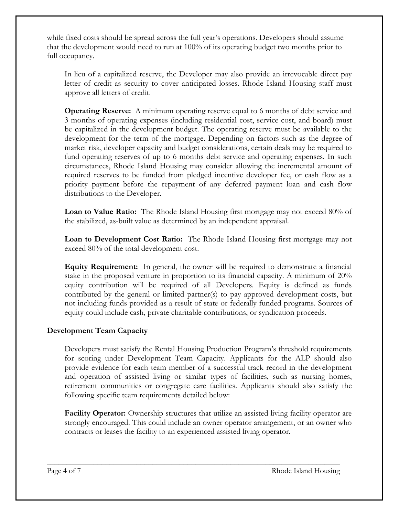while fixed costs should be spread across the full year's operations. Developers should assume that the development would need to run at 100% of its operating budget two months prior to full occupancy.

In lieu of a capitalized reserve, the Developer may also provide an irrevocable direct pay letter of credit as security to cover anticipated losses. Rhode Island Housing staff must approve all letters of credit.

**Operating Reserve:** A minimum operating reserve equal to 6 months of debt service and 3 months of operating expenses (including residential cost, service cost, and board) must be capitalized in the development budget. The operating reserve must be available to the development for the term of the mortgage. Depending on factors such as the degree of market risk, developer capacity and budget considerations, certain deals may be required to fund operating reserves of up to 6 months debt service and operating expenses. In such circumstances, Rhode Island Housing may consider allowing the incremental amount of required reserves to be funded from pledged incentive developer fee, or cash flow as a priority payment before the repayment of any deferred payment loan and cash flow distributions to the Developer.

**Loan to Value Ratio:** The Rhode Island Housing first mortgage may not exceed 80% of the stabilized, as-built value as determined by an independent appraisal.

**Loan to Development Cost Ratio:** The Rhode Island Housing first mortgage may not exceed 80% of the total development cost.

**Equity Requirement:**In general, the owner will be required to demonstrate a financial stake in the proposed venture in proportion to its financial capacity. A minimum of 20% equity contribution will be required of all Developers. Equity is defined as funds contributed by the general or limited partner(s) to pay approved development costs, but not including funds provided as a result of state or federally funded programs. Sources of equity could include cash, private charitable contributions, or syndication proceeds.

# **Development Team Capacity**

Developers must satisfy the Rental Housing Production Program's threshold requirements for scoring under Development Team Capacity. Applicants for the ALP should also provide evidence for each team member of a successful track record in the development and operation of assisted living or similar types of facilities, such as nursing homes, retirement communities or congregate care facilities. Applicants should also satisfy the following specific team requirements detailed below:

**Facility Operator:** Ownership structures that utilize an assisted living facility operator are strongly encouraged. This could include an owner operator arrangement, or an owner who contracts or leases the facility to an experienced assisted living operator.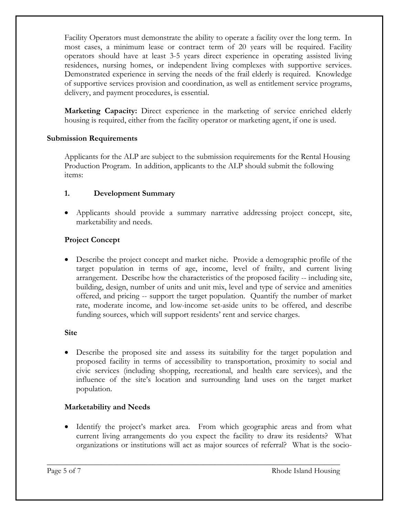Facility Operators must demonstrate the ability to operate a facility over the long term. In most cases, a minimum lease or contract term of 20 years will be required. Facility operators should have at least 3-5 years direct experience in operating assisted living residences, nursing homes, or independent living complexes with supportive services. Demonstrated experience in serving the needs of the frail elderly is required. Knowledge of supportive services provision and coordination, as well as entitlement service programs, delivery, and payment procedures, is essential.

**Marketing Capacity:** Direct experience in the marketing of service enriched elderly housing is required, either from the facility operator or marketing agent, if one is used.

#### **Submission Requirements**

Applicants for the ALP are subject to the submission requirements for the Rental Housing Production Program. In addition, applicants to the ALP should submit the following items:

# **1. Development Summary**

 Applicants should provide a summary narrative addressing project concept, site, marketability and needs.

# **Project Concept**

 Describe the project concept and market niche. Provide a demographic profile of the target population in terms of age, income, level of frailty, and current living arrangement. Describe how the characteristics of the proposed facility -- including site, building, design, number of units and unit mix, level and type of service and amenities offered, and pricing -- support the target population. Quantify the number of market rate, moderate income, and low-income set-aside units to be offered, and describe funding sources, which will support residents' rent and service charges.

#### **Site**

 Describe the proposed site and assess its suitability for the target population and proposed facility in terms of accessibility to transportation, proximity to social and civic services (including shopping, recreational, and health care services), and the influence of the site's location and surrounding land uses on the target market population.

# **Marketability and Needs**

• Identify the project's market area. From which geographic areas and from what current living arrangements do you expect the facility to draw its residents? What organizations or institutions will act as major sources of referral? What is the socio-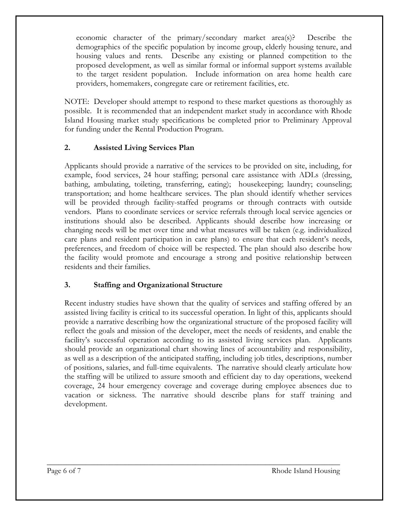economic character of the primary/secondary market area(s)? Describe the demographics of the specific population by income group, elderly housing tenure, and housing values and rents. Describe any existing or planned competition to the proposed development, as well as similar formal or informal support systems available to the target resident population. Include information on area home health care providers, homemakers, congregate care or retirement facilities, etc.

NOTE: Developer should attempt to respond to these market questions as thoroughly as possible. It is recommended that an independent market study in accordance with Rhode Island Housing market study specifications be completed prior to Preliminary Approval for funding under the Rental Production Program.

# **2. Assisted Living Services Plan**

Applicants should provide a narrative of the services to be provided on site, including, for example, food services, 24 hour staffing; personal care assistance with ADLs (dressing, bathing, ambulating, toileting, transferring, eating); housekeeping; laundry; counseling; transportation; and home healthcare services. The plan should identify whether services will be provided through facility-staffed programs or through contracts with outside vendors. Plans to coordinate services or service referrals through local service agencies or institutions should also be described. Applicants should describe how increasing or changing needs will be met over time and what measures will be taken (e.g. individualized care plans and resident participation in care plans) to ensure that each resident's needs, preferences, and freedom of choice will be respected. The plan should also describe how the facility would promote and encourage a strong and positive relationship between residents and their families.

# **3. Staffing and Organizational Structure**

Recent industry studies have shown that the quality of services and staffing offered by an assisted living facility is critical to its successful operation. In light of this, applicants should provide a narrative describing how the organizational structure of the proposed facility will reflect the goals and mission of the developer, meet the needs of residents, and enable the facility's successful operation according to its assisted living services plan. Applicants should provide an organizational chart showing lines of accountability and responsibility, as well as a description of the anticipated staffing, including job titles, descriptions, number of positions, salaries, and full-time equivalents. The narrative should clearly articulate how the staffing will be utilized to assure smooth and efficient day to day operations, weekend coverage, 24 hour emergency coverage and coverage during employee absences due to vacation or sickness. The narrative should describe plans for staff training and development.